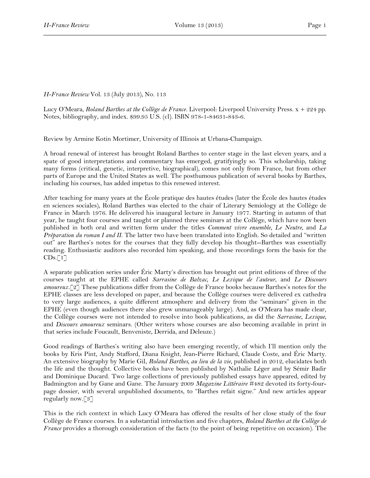## *H-France Review* Vol. 13 (July 2013), No. 113

Lucy O'Meara, *Roland Barthes at the Collège de France*. Liverpool: Liverpool University Press. x + 224 pp. Notes, bibliography, and index. \$99.95 U.S. (cl). ISBN 978-1-84631-843-6.

Review by Armine Kotin Mortimer, University of Illinois at Urbana-Champaign.

A broad renewal of interest has brought Roland Barthes to center stage in the last eleven years, and a spate of good interpretations and commentary has emerged, gratifyingly so. This scholarship, taking many forms (critical, genetic, interpretive, biographical), comes not only from France, but from other parts of Europe and the United States as well. The posthumous publication of several books by Barthes, including his courses, has added impetus to this renewed interest.

After teaching for many years at the École pratique des hautes études (later the École des hautes études en sciences sociales), Roland Barthes was elected to the chair of Literary Semiology at the Collège de France in March 1976. He delivered his inaugural lecture in January 1977. Starting in autumn of that year, he taught four courses and taught or planned three seminars at the Collège, which have now been published in both oral and written form under the titles *Comment vivre ensemble*, *Le Neutre*, and *La Préparation du roman I and II*. The latter two have been translated into English. So detailed and "written out" are Barthes's notes for the courses that they fully develop his thought--Barthes was essentially reading. Enthusiastic auditors also recorded him speaking, and those recordings form the basis for the  $CDs.$ [1]

A separate publication series under Éric Marty's direction has brought out print editions of three of the courses taught at the EPHE called *Sarrasine de Balzac, Le Lexique de l'auteur*, and *Le Discours amoureux.*[2] These publications differ from the Collège de France books because Barthes's notes for the EPHE classes are less developed on paper, and because the Collège courses were delivered ex cathedra to very large audiences, a quite different atmosphere and delivery from the "seminars" given in the EPHE (even though audiences there also grew unmanageably large). And, as O'Meara has made clear, the Collège courses were not intended to resolve into book publications, as did the *Sarrasine*, *Lexique*, and *Discours amoureux* seminars. (Other writers whose courses are also becoming available in print in that series include Foucault, Benveniste, Derrida, and Deleuze.)

Good readings of Barthes's writing also have been emerging recently, of which I'll mention only the books by Kris Pint, Andy Stafford, Diana Knight, Jean-Pierre Richard, Claude Coste, and Éric Marty. An extensive biography by Marie Gil, *Roland Barthes, au lieu de la vie*, published in 2012, elucidates both the life and the thought. Collective books have been published by Nathalie Léger and by Sémir Badir and Dominique Ducard*.* Two large collections of previously published essays have appeared, edited by Badmington and by Gane and Gane. The January 2009 *Magazine Littéraire* #482 devoted its forty-fourpage dossier, with several unpublished documents, to "Barthes refait signe." And new articles appear regularly now.[3]

This is the rich context in which Lucy O'Meara has offered the results of her close study of the four Collège de France courses. In a substantial introduction and five chapters, *Roland Barthes at the Collège de France* provides a thorough consideration of the facts (to the point of being repetitive on occasion). The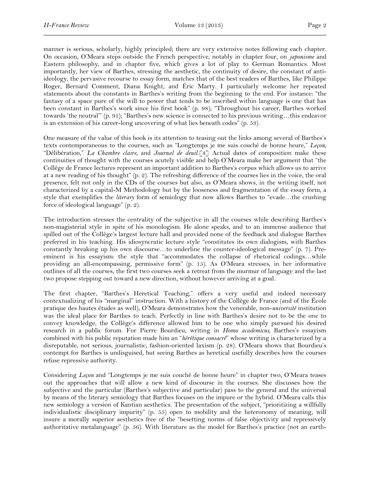manner is serious, scholarly, highly principled; there are very extensive notes following each chapter. On occasion, O'Meara steps outside the French perspective, notably in chapter four, on *japonisme* and Eastern philosophy, and in chapter five, which gives a lot of play to German Romantics. Most importantly, her view of Barthes, stressing the aesthetic, the continuity of desire, the constant of antiideology, the pervasive recourse to essay form, matches that of the best readers of Barthes, like Philippe Roger, Bernard Comment, Diana Knight, and Éric Marty. I particularly welcome her repeated statements about the constants in Barthes's writing from the beginning to the end. For instance: "the fantasy of a space pure of the will to power that tends to be inscribed within language is one that has been constant in Barthes's work since his first book" (p. 98); "Throughout his career, Barthes worked towards 'the neutral'" (p. 91); "Barthes's new science is connected to his previous writing…this endeavor is an extension of his career-long uncovering of what lies beneath codes" (p. 53).

One measure of the value of this book is its attention to teasing out the links among several of Barthes's texts contemporaneous to the courses, such as "Longtemps je me suis couché de bonne heure," *Leçon*, "Délibération," *La Chambre claire,* and *Journal de deuil*.[4] Actual dates of composition make these continuities of thought with the courses acutely visible and help O'Meara make her argument that "the Collège de France lectures represent an important addition to Barthes's corpus which allows us to arrive at a new reading of his thought" (p. 2). The refreshing difference of the courses lies in the voice, the oral presence, felt not only in the CDs of the courses but also, as O'Meara shows, in the writing itself, not characterized by a capital-M Methodology but by the looseness and fragmentation of the essay form, a style that exemplifies the *literary* form of semiology that now allows Barthes to "evade…the crushing force of ideological language" (p. 2).

The introduction stresses the centrality of the subjective in all the courses while describing Barthes's non-magisterial style in spite of his monologism. He alone speaks, and to an immense audience that spilled out of the Collège's largest lecture hall and provided none of the feedback and dialogue Barthes preferred in his teaching. His idiosyncratic lecture style "constitutes its own dialogism, with Barthes constantly breaking up his own discourse…to underline the counter-ideological message" (p. 7). Preeminent is his essayism: the style that "accommodates the collapse of rhetorical codings...while providing an all-encompassing, permissive form" (p. 15). As O'Meara stresses, in her informative outlines of all the courses, the first two courses seek a retreat from the murmur of language and the last two propose stepping out toward a new direction, without however arriving at a goal.

The first chapter, "Barthes's Heretical Teaching," offers a very useful and indeed necessary contextualizing of his "marginal" instruction. With a history of the Collège de France (and of the École pratique des hautes études as well), O'Meara demonstrates how the venerable, non-*université* institution was the ideal place for Barthes to teach. Perfectly in line with Barthes's desire not to be the one to convey knowledge, the Collège's difference allowed him to be one who simply pursued his desired research in a public forum. For Pierre Bourdieu, writing in *Homo academicus,* Barthes's essayism combined with his public reputation made him an "*hérétique consacré*" whose writing is characterized by a disreputable, not serious, journalistic, fashion-oriented laxism (p. 28). O'Meara shows that Bourdieu's contempt for Barthes is undisguised, but seeing Barthes as heretical usefully describes how the courses refuse repressive authority.

Considering *Leçon* and "Longtemps je me suis couché de bonne heure" in chapter two, O'Meara teases out the approaches that will allow a new kind of discourse in the courses. She discusses how the subjective and the particular (Barthes's subjective and particular) pass to the general and the universal by means of the literary semiology that Barthes focuses on the impure or the hybrid. O'Meara calls this new semiology a version of Kantian aesthetics. The presentation of the subject, "prioritizing a willfully individualistic disciplinary impurity" (p. 55) open to mobility and the heteronomy of meaning, will insure a morally superior aesthetics free of the "besetting norms of false objectivity and repressively authoritative metalanguage" (p. 56). With literature as the model for Barthes's practice (not an earth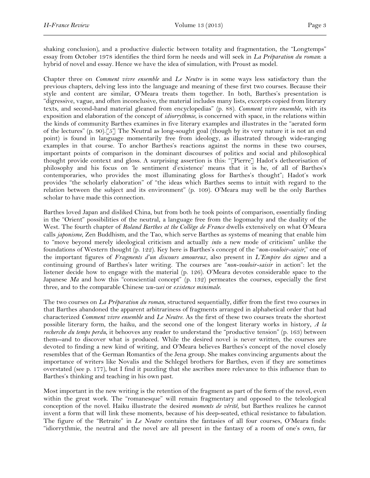shaking conclusion), and a productive dialectic between totality and fragmentation, the "Longtemps" essay from October 1978 identifies the third form he needs and will seek in *La Préparation du roman*: a hybrid of novel and essay. Hence we have the idea of simulation, with Proust as model.

Chapter three on *Comment vivre ensemble* and *Le Neutre* is in some ways less satisfactory than the previous chapters, delving less into the language and meaning of these first two courses. Because their style and content are similar, O'Meara treats them together. In both, Barthes's presentation is "digressive, vague, and often inconclusive, the material includes many lists, excerpts copied from literary texts, and second-hand material gleaned from encyclopedias" (p. 88). *Comment vivre ensemble*, with its exposition and elaboration of the concept of *idiorrythmie*, is concerned with space, in the relations within the kinds of community Barthes examines in five literary examples and illustrates in the "aerated form of the lectures" (p. 90).[5] The Neutral as long-sought goal (though by its very nature it is not an end point) is found in language momentarily free from ideology, as illustrated through wide-ranging examples in that course. To anchor Barthes's reactions against the norms in these two courses, important points of comparison in the dominant discourses of politics and social and philosophical thought provide context and gloss. A surprising assertion is this: "[Pierre] Hadot's detheorisation of philosophy and his focus on 'le sentiment d'existence' means that it is he, of all of Barthes's contemporaries, who provides the most illuminating gloss for Barthes's thought"; Hadot's work provides "the scholarly elaboration" of "the ideas which Barthes seems to intuit with regard to the relation between the subject and its environment" (p. 109). O'Meara may well be the only Barthes scholar to have made this connection.

Barthes loved Japan and disliked China, but from both he took points of comparison, essentially finding in the "Orient" possibilities of the neutral, a language free from the logomachy and the duality of the West. The fourth chapter of *Roland Barthes at the Collège de France* dwells extensively on what O'Meara calls *japonisme*, Zen Buddhism, and the Tao, which serve Barthes as systems of meaning that enable him to "move beyond merely ideological criticism and actually *into* a new mode of criticism" unlike the foundations of Western thought (p. 122). Key here is Barthes's concept of the "*non-vouloir-saisir*," one of the important figures of *Fragments d'un discours amoureux*, also present in *L'Empire des signes* and a continuing ground of Barthes's later writing. The courses are "*non-vouloir-saisir* in action": let the listener decide how to engage with the material (p. 126). O'Meara devotes considerable space to the Japanese *Ma* and how this "consciential concept" (p. 132) permeates the courses, especially the first three, and to the comparable Chinese *wu-wei* or *existence minimale*.

The two courses on *La Préparation du roman*, structured sequentially, differ from the first two courses in that Barthes abandoned the apparent arbitrariness of fragments arranged in alphabetical order that had characterized *Comment vivre ensemble* and *Le Neutre*. As the first of these two courses treats the shortest possible literary form, the haiku, and the second one of the longest literary works in history, *A la recherche du temps perdu*, it behooves any reader to understand the "productive tension" (p. 163) between them--and to discover what is produced. While the desired novel is never written, the courses are devoted to finding a new kind of writing, and O'Meara believes Barthes's concept of the novel closely resembles that of the German Romantics of the Jena group. She makes convincing arguments about the importance of writers like Novalis and the Schlegel brothers for Barthes, even if they are sometimes overstated (see p. 177), but I find it puzzling that she ascribes more relevance to this influence than to Barthes's thinking and teaching in his own past.

Most important in the new writing is the retention of the fragment as part of the form of the novel, even within the great work. The "romanesque" will remain fragmentary and opposed to the teleological conception of the novel. Haiku illustrate the desired *moments de vérité*, but Barthes realizes he cannot invent a form that will link these moments, because of his deep-seated, ethical resistance to fabulation. The figure of the "Retraite" in *Le Neutre* contains the fantasies of all four courses, O'Meara finds: "idiorrythmie, the neutral and the novel are all present in the fantasy of a room of one's own, far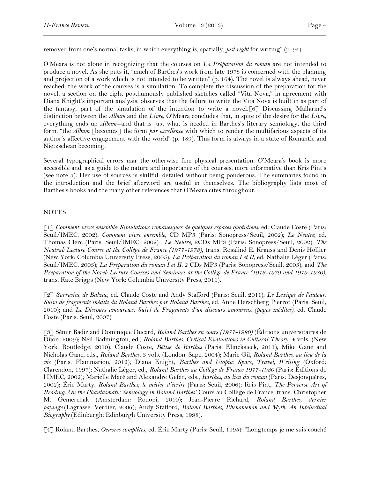removed from one's normal tasks, in which everything is, spatially, *just right* for writing" (p. 94).

O'Meara is not alone in recognizing that the courses on *La Préparation du roman* are not intended to produce a novel. As she puts it, "much of Barthes's work from late 1978 is concerned with the planning and projection of a work which is not intended to be written" (p. 164). The novel is always ahead, never reached; the work of the courses is a simulation. To complete the discussion of the preparation for the novel, a section on the eight posthumously published sketches called "Vita Nova," in agreement with Diana Knight's important analysis, observes that the failure to write the Vita Nova is built in as part of the fantasy, part of the simulation of the intention to write a novel.[6] Discussing Mallarmé's distinction between the *Album* and the *Livre*, O'Meara concludes that, in spite of the desire for the *Livre*, everything ends up *Album*--and that is just what is needed in Barthes's literary semiology, the third form: "the *Album* [becomes] the form *par excellence* with which to render the multifarious aspects of its author's affective engagement with the world" (p. 189). This form is always in a state of Romantic and Nietzschean becoming.

Several typographical errors mar the otherwise fine physical presentation. O'Meara's book is more accessible and, as a guide to the nature and importance of the courses, more informative than Kris Pint's (see note 3). Her use of sources is skillful: detailed without being ponderous. The summaries found in the introduction and the brief afterword are useful in themselves. The bibliography lists most of Barthes's books and the many other references that O'Meara cites throughout.

## NOTES

[1] *Comment vivre ensemble: Simulations romanesques de quelques espaces quotidiens,* ed. Claude Coste (Paris: Seuil/IMEC, 2002); *Comment vivre ensemble,* CD MP3 (Paris: Sonopress/Seuil, 2002); *Le Neutre,* ed. Thomas Clerc (Paris: Seuil/IMEC, 2002) ; *Le Neutre,* 2CDs MP3 (Paris: Sonopress/Seuil, 2002); *The Neutral: Lecture Course at the Collège de France (1977-1978)*, trans. Rosalind E. Krauss and Denis Hollier (New York: Columbia University Press, 2005); *La Préparation du roman I et II,* ed. Nathalie Léger (Paris: Seuil/IMEC, 2003); *La Préparation du roman I et II,* 2 CDs MP3 (Paris: Sonopress/Seuil, 2003); and *The Preparation of the Novel: Lecture Courses and Seminars at the Collège de France (1978-1979 and 1979-1980)*, trans. Kate Briggs (New York: Columbia University Press, 2011).

[2] *Sarrasine de Balzac*, ed. Claude Coste and Andy Stafford (Paris: Seuil, 2011); *Le Lexique de l'auteur. Suivi de fragments inédits du Roland Barthes par Roland Barthes,* ed. Anne Herschberg Pierrot (Paris: Seuil, 2010); and *Le Discours amoureux. Suivi de Fragments d'un discours amoureux (pages inédites),* ed. Claude Coste (Paris: Seuil, 2007).

[3] Sémir Badir and Dominique Ducard, *Roland Barthes en cours (1977-1980)* (Éditions universitaires de Dijon, 2009); Neil Badmington, ed., *Roland Barthes. Critical Evaluations in Cultural Theory*, 4 vols*.* (New York: Routledge, 2010); Claude Coste, *Bêtise de Barthes* (Paris: Klincksieck, 2011); Mike Gane and Nicholas Gane, eds., *Roland Barthes*, 3 vols. (London: Sage, 2004); Marie Gil, *Roland Barthes, au lieu de la vie* (Paris: Flammarion, 2012); Diana Knight, *Barthes and Utopia: Space, Travel, Writing* (Oxford: Clarendon, 1997); Nathalie Léger, ed., *Roland Barthes au Collège de France 1977-1980* (Paris: Éditions de l'IMEC, 2002); Marielle Macé and Alexandre Gefen, eds., *Barthes, au lieu du roman* (Paris: Desjonquères, 2002); Éric Marty, *Roland Barthes, le métier d'écrire* (Paris: Seuil, 2006); Kris Pint, *The Perverse Art of Reading. On the Phantasmatic Semiology in Roland Barthes'* Cours au Collège de France, trans. Christopher M. Gemerchak (Amsterdam: Rodopi, 2010); Jean-Pierre Richard, *Roland Barthes, dernier paysage* (Lagrasse: Verdier, 2006); Andy Stafford, *Roland Barthes, Phenomenon and Myth: An Intellectual Biography* (Edinburgh: Edinburgh University Press, 1998).

[4] Roland Barthes, *Oeuvres complètes*, ed. Éric Marty (Paris: Seuil, 1995): "Longtemps je me suis couché